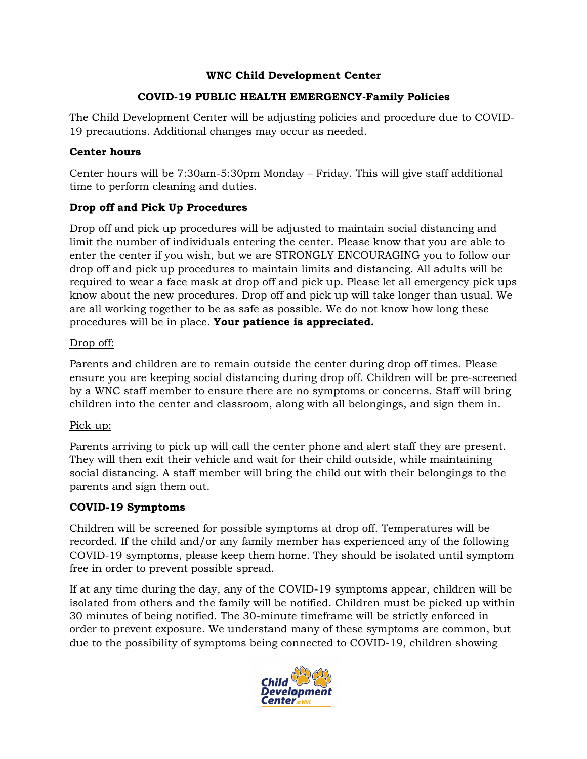#### **WNC Child Development Center**

#### **COVID-19 PUBLIC HEALTH EMERGENCY-Family Policies**

The Child Development Center will be adjusting policies and procedure due to COVID-19 precautions. Additional changes may occur as needed.

# **Center hours**

Center hours will be 7:30am-5:30pm Monday – Friday. This will give staff additional time to perform cleaning and duties.

# **Drop off and Pick Up Procedures**

Drop off and pick up procedures will be adjusted to maintain social distancing and limit the number of individuals entering the center. Please know that you are able to enter the center if you wish, but we are STRONGLY ENCOURAGING you to follow our drop off and pick up procedures to maintain limits and distancing. All adults will be required to wear a face mask at drop off and pick up. Please let all emergency pick ups know about the new procedures. Drop off and pick up will take longer than usual. We are all working together to be as safe as possible. We do not know how long these procedures will be in place. **Your patience is appreciated.**

# Drop off:

Parents and children are to remain outside the center during drop off times. Please ensure you are keeping social distancing during drop off. Children will be pre-screened by a WNC staff member to ensure there are no symptoms or concerns. Staff will bring children into the center and classroom, along with all belongings, and sign them in.

# Pick up:

Parents arriving to pick up will call the center phone and alert staff they are present. They will then exit their vehicle and wait for their child outside, while maintaining social distancing. A staff member will bring the child out with their belongings to the parents and sign them out.

# **COVID-19 Symptoms**

Children will be screened for possible symptoms at drop off. Temperatures will be recorded. If the child and/or any family member has experienced any of the following COVID-19 symptoms, please keep them home. They should be isolated until symptom free in order to prevent possible spread.

If at any time during the day, any of the COVID-19 symptoms appear, children will be isolated from others and the family will be notified. Children must be picked up within 30 minutes of being notified. The 30-minute timeframe will be strictly enforced in order to prevent exposure. We understand many of these symptoms are common, but due to the possibility of symptoms being connected to COVID-19, children showing

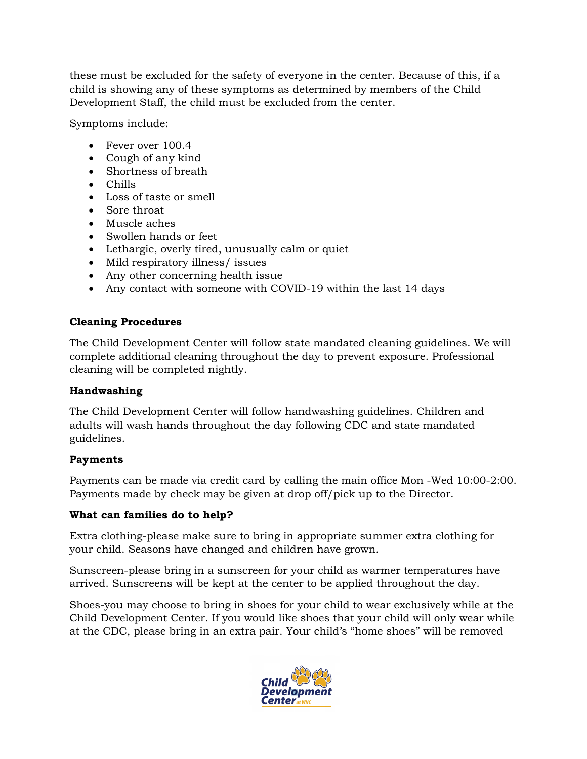these must be excluded for the safety of everyone in the center. Because of this, if a child is showing any of these symptoms as determined by members of the Child Development Staff, the child must be excluded from the center.

Symptoms include:

- Fever over 100.4
- Cough of any kind
- Shortness of breath
- Chills
- Loss of taste or smell
- Sore throat
- Muscle aches
- Swollen hands or feet
- Lethargic, overly tired, unusually calm or quiet
- Mild respiratory illness/ issues
- Any other concerning health issue
- Any contact with someone with COVID-19 within the last 14 days

#### **Cleaning Procedures**

The Child Development Center will follow state mandated cleaning guidelines. We will complete additional cleaning throughout the day to prevent exposure. Professional cleaning will be completed nightly.

# **Handwashing**

The Child Development Center will follow handwashing guidelines. Children and adults will wash hands throughout the day following CDC and state mandated guidelines.

# **Payments**

Payments can be made via credit card by calling the main office Mon -Wed 10:00-2:00. Payments made by check may be given at drop off/pick up to the Director.

#### **What can families do to help?**

Extra clothing-please make sure to bring in appropriate summer extra clothing for your child. Seasons have changed and children have grown.

Sunscreen-please bring in a sunscreen for your child as warmer temperatures have arrived. Sunscreens will be kept at the center to be applied throughout the day.

Shoes-you may choose to bring in shoes for your child to wear exclusively while at the Child Development Center. If you would like shoes that your child will only wear while at the CDC, please bring in an extra pair. Your child's "home shoes" will be removed